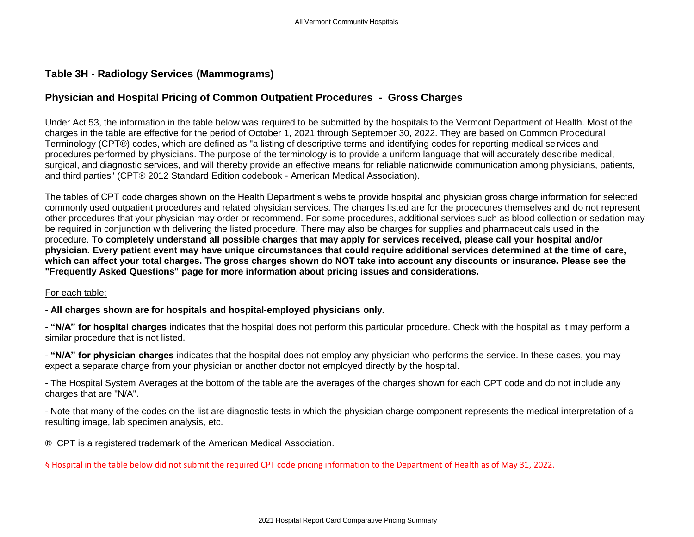## **Table 3H - Radiology Services (Mammograms)**

## **Physician and Hospital Pricing of Common Outpatient Procedures - Gross Charges**

Under Act 53, the information in the table below was required to be submitted by the hospitals to the Vermont Department of Health. Most of the charges in the table are effective for the period of October 1, 2021 through September 30, 2022. They are based on Common Procedural Terminology (CPT®) codes, which are defined as "a listing of descriptive terms and identifying codes for reporting medical services and procedures performed by physicians. The purpose of the terminology is to provide a uniform language that will accurately describe medical, surgical, and diagnostic services, and will thereby provide an effective means for reliable nationwide communication among physicians, patients, and third parties" (CPT® 2012 Standard Edition codebook - American Medical Association).

The tables of CPT code charges shown on the Health Department's website provide hospital and physician gross charge information for selected commonly used outpatient procedures and related physician services. The charges listed are for the procedures themselves and do not represent other procedures that your physician may order or recommend. For some procedures, additional services such as blood collection or sedation may be required in conjunction with delivering the listed procedure. There may also be charges for supplies and pharmaceuticals used in the procedure. **To completely understand all possible charges that may apply for services received, please call your hospital and/or physician. Every patient event may have unique circumstances that could require additional services determined at the time of care, which can affect your total charges. The gross charges shown do NOT take into account any discounts or insurance. Please see the "Frequently Asked Questions" page for more information about pricing issues and considerations.**

For each table:

- **All charges shown are for hospitals and hospital-employed physicians only.**

- **"N/A" for hospital charges** indicates that the hospital does not perform this particular procedure. Check with the hospital as it may perform a similar procedure that is not listed.

- **"N/A" for physician charges** indicates that the hospital does not employ any physician who performs the service. In these cases, you may expect a separate charge from your physician or another doctor not employed directly by the hospital.

- The Hospital System Averages at the bottom of the table are the averages of the charges shown for each CPT code and do not include any charges that are "N/A".

- Note that many of the codes on the list are diagnostic tests in which the physician charge component represents the medical interpretation of a resulting image, lab specimen analysis, etc.

® CPT is a registered trademark of the American Medical Association.

§ Hospital in the table below did not submit the required CPT code pricing information to the Department of Health as of May 31, 2022.